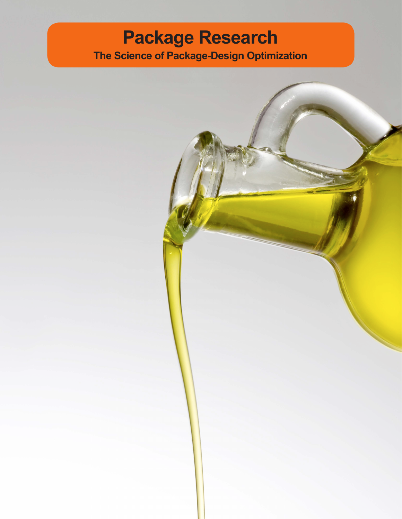## **Package Research The Science of Package-Design Optimization**

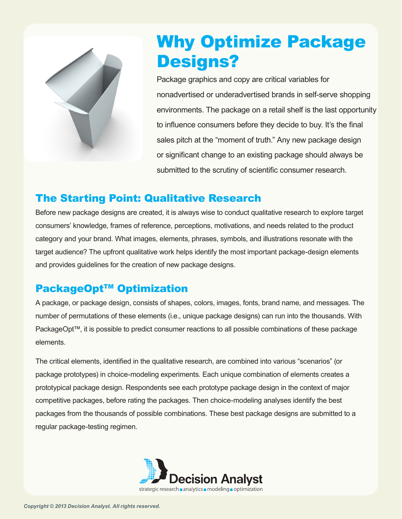

# Why Optimize Package Designs?

Package graphics and copy are critical variables for nonadvertised or underadvertised brands in self-serve shopping environments. The package on a retail shelf is the last opportunity to influence consumers before they decide to buy. It's the final sales pitch at the "moment of truth." Any new package design or significant change to an existing package should always be submitted to the scrutiny of scientific consumer research.

#### The Starting Point: Qualitative Research

Before new package designs are created, it is always wise to conduct qualitative research to explore target consumers' knowledge, frames of reference, perceptions, motivations, and needs related to the product category and your brand. What images, elements, phrases, symbols, and illustrations resonate with the target audience? The upfront qualitative work helps identify the most important package-design elements and provides guidelines for the creation of new package designs.

### **PackageOpt™ Optimization**

A package, or package design, consists of shapes, colors, images, fonts, brand name, and messages. The number of permutations of these elements (i.e., unique package designs) can run into the thousands. With PackageOpt™, it is possible to predict consumer reactions to all possible combinations of these package elements.

The critical elements, identified in the qualitative research, are combined into various "scenarios" (or package prototypes) in choice-modeling experiments. Each unique combination of elements creates a prototypical package design. Respondents see each prototype package design in the context of major competitive packages, before rating the packages. Then choice-modeling analyses identify the best packages from the thousands of possible combinations. These best package designs are submitted to a regular package-testing regimen.

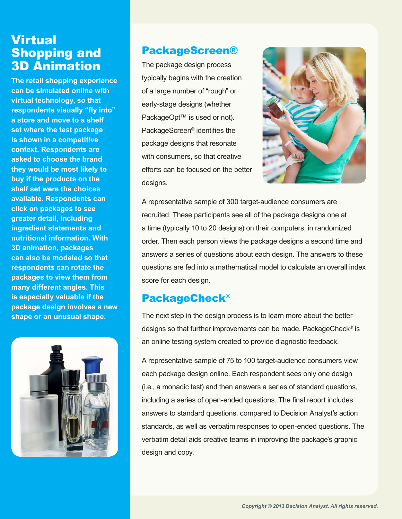## Virtual Shopping and 3D Animation

**The retail shopping experience can be simulated online with virtual technology, so that respondents visually "fly into" a store and move to a shelf set where the test package is shown in a competitive context. Respondents are asked to choose the brand they would be most likely to buy if the products on the shelf set were the choices available. Respondents can click on packages to see greater detail, including ingredient statements and nutritional information. With 3D animation, packages can also be modeled so that respondents can rotate the packages to view them from many different angles. This is especially valuable if the package design involves a new shape or an unusual shape.**



### PackageScreen®

The package design process typically begins with the creation of a large number of "rough" or early-stage designs (whether PackageOpt™ is used or not). PackageScreen® identifies the package designs that resonate with consumers, so that creative efforts can be focused on the better designs.



A representative sample of 300 target-audience consumers are recruited. These participants see all of the package designs one at a time (typically 10 to 20 designs) on their computers, in randomized order. Then each person views the package designs a second time and answers a series of questions about each design. The answers to these questions are fed into a mathematical model to calculate an overall index score for each design.

#### PackageCheck®

The next step in the design process is to learn more about the better designs so that further improvements can be made. PackageCheck® is an online testing system created to provide diagnostic feedback.

A representative sample of 75 to 100 target-audience consumers view each package design online. Each respondent sees only one design (i.e., a monadic test) and then answers a series of standard questions, including a series of open-ended questions. The final report includes answers to standard questions, compared to Decision Analyst's action standards, as well as verbatim responses to open-ended questions. The verbatim detail aids creative teams in improving the package's graphic design and copy.